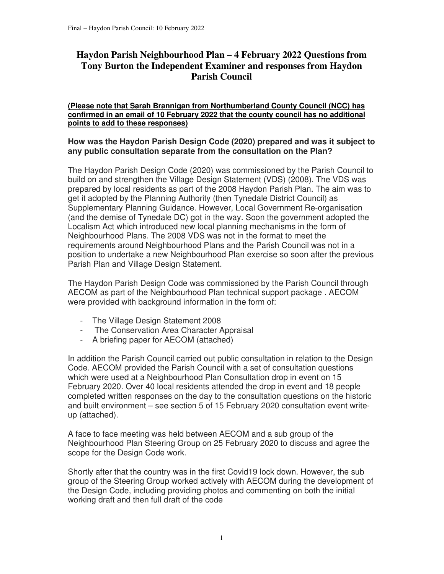# **Haydon Parish Neighbourhood Plan – 4 February 2022 Questions from Tony Burton the Independent Examiner and responses from Haydon Parish Council**

#### **(Please note that Sarah Brannigan from Northumberland County Council (NCC) has confirmed in an email of 10 February 2022 that the county council has no additional points to add to these responses)**

### **How was the Haydon Parish Design Code (2020) prepared and was it subject to any public consultation separate from the consultation on the Plan?**

The Haydon Parish Design Code (2020) was commissioned by the Parish Council to build on and strengthen the Village Design Statement (VDS) (2008). The VDS was prepared by local residents as part of the 2008 Haydon Parish Plan. The aim was to get it adopted by the Planning Authority (then Tynedale District Council) as Supplementary Planning Guidance. However, Local Government Re-organisation (and the demise of Tynedale DC) got in the way. Soon the government adopted the Localism Act which introduced new local planning mechanisms in the form of Neighbourhood Plans. The 2008 VDS was not in the format to meet the requirements around Neighbourhood Plans and the Parish Council was not in a position to undertake a new Neighbourhood Plan exercise so soon after the previous Parish Plan and Village Design Statement.

The Haydon Parish Design Code was commissioned by the Parish Council through AECOM as part of the Neighbourhood Plan technical support package . AECOM were provided with background information in the form of:

- The Village Design Statement 2008
- The Conservation Area Character Appraisal
- A briefing paper for AECOM (attached)

In addition the Parish Council carried out public consultation in relation to the Design Code. AECOM provided the Parish Council with a set of consultation questions which were used at a Neighbourhood Plan Consultation drop in event on 15 February 2020. Over 40 local residents attended the drop in event and 18 people completed written responses on the day to the consultation questions on the historic and built environment – see section 5 of 15 February 2020 consultation event writeup (attached).

A face to face meeting was held between AECOM and a sub group of the Neighbourhood Plan Steering Group on 25 February 2020 to discuss and agree the scope for the Design Code work.

Shortly after that the country was in the first Covid19 lock down. However, the sub group of the Steering Group worked actively with AECOM during the development of the Design Code, including providing photos and commenting on both the initial working draft and then full draft of the code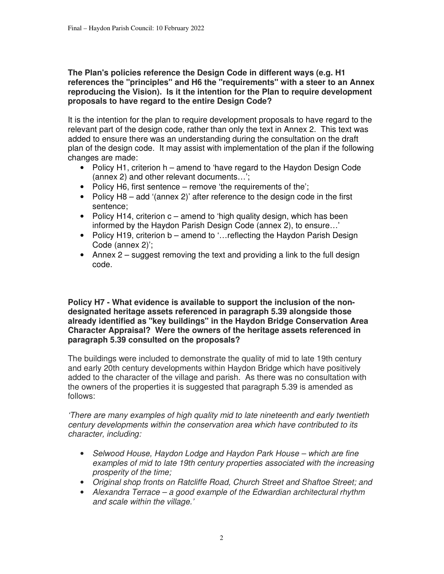## **The Plan's policies reference the Design Code in different ways (e.g. H1 references the "principles" and H6 the "requirements" with a steer to an Annex reproducing the Vision). Is it the intention for the Plan to require development proposals to have regard to the entire Design Code?**

It is the intention for the plan to require development proposals to have regard to the relevant part of the design code, rather than only the text in Annex 2. This text was added to ensure there was an understanding during the consultation on the draft plan of the design code. It may assist with implementation of the plan if the following changes are made:

- Policy H1, criterion h amend to 'have regard to the Haydon Design Code (annex 2) and other relevant documents…';
- Policy H6, first sentence remove 'the requirements of the';
- Policy H8 add '(annex 2)' after reference to the design code in the first sentence;
- Policy H14, criterion  $c -$  amend to 'high quality design, which has been informed by the Haydon Parish Design Code (annex 2), to ensure…'
- Policy H19, criterion b amend to '...reflecting the Haydon Parish Design Code (annex 2)';
- Annex 2 suggest removing the text and providing a link to the full design code.

**Policy H7 - What evidence is available to support the inclusion of the nondesignated heritage assets referenced in paragraph 5.39 alongside those already identified as "key buildings" in the Haydon Bridge Conservation Area Character Appraisal? Were the owners of the heritage assets referenced in paragraph 5.39 consulted on the proposals?** 

The buildings were included to demonstrate the quality of mid to late 19th century and early 20th century developments within Haydon Bridge which have positively added to the character of the village and parish. As there was no consultation with the owners of the properties it is suggested that paragraph 5.39 is amended as follows:

'There are many examples of high quality mid to late nineteenth and early twentieth century developments within the conservation area which have contributed to its character, including:

- Selwood House, Haydon Lodge and Haydon Park House which are fine examples of mid to late 19th century properties associated with the increasing prosperity of the time;
- Original shop fronts on Ratcliffe Road, Church Street and Shaftoe Street; and
- Alexandra Terrace a good example of the Edwardian architectural rhythm and scale within the village.'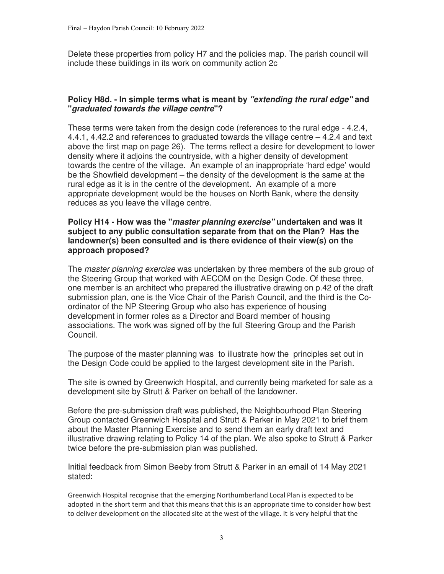Delete these properties from policy H7 and the policies map. The parish council will include these buildings in its work on community action 2c

## **Policy H8d. - In simple terms what is meant by "extending the rural edge" and "graduated towards the village centre"?**

These terms were taken from the design code (references to the rural edge - 4.2.4, 4.4.1, 4.42.2 and references to graduated towards the village centre – 4.2.4 and text above the first map on page 26). The terms reflect a desire for development to lower density where it adjoins the countryside, with a higher density of development towards the centre of the village. An example of an inappropriate 'hard edge' would be the Showfield development – the density of the development is the same at the rural edge as it is in the centre of the development. An example of a more appropriate development would be the houses on North Bank, where the density reduces as you leave the village centre.

#### **Policy H14 - How was the "master planning exercise" undertaken and was it subject to any public consultation separate from that on the Plan? Has the landowner(s) been consulted and is there evidence of their view(s) on the approach proposed?**

The *master planning exercise* was undertaken by three members of the sub group of the Steering Group that worked with AECOM on the Design Code. Of these three, one member is an architect who prepared the illustrative drawing on p.42 of the draft submission plan, one is the Vice Chair of the Parish Council, and the third is the Coordinator of the NP Steering Group who also has experience of housing development in former roles as a Director and Board member of housing associations. The work was signed off by the full Steering Group and the Parish Council.

The purpose of the master planning was to illustrate how the principles set out in the Design Code could be applied to the largest development site in the Parish.

The site is owned by Greenwich Hospital, and currently being marketed for sale as a development site by Strutt & Parker on behalf of the landowner.

Before the pre-submission draft was published, the Neighbourhood Plan Steering Group contacted Greenwich Hospital and Strutt & Parker in May 2021 to brief them about the Master Planning Exercise and to send them an early draft text and illustrative drawing relating to Policy 14 of the plan. We also spoke to Strutt & Parker twice before the pre-submission plan was published.

Initial feedback from Simon Beeby from Strutt & Parker in an email of 14 May 2021 stated:

Greenwich Hospital recognise that the emerging Northumberland Local Plan is expected to be adopted in the short term and that this means that this is an appropriate time to consider how best to deliver development on the allocated site at the west of the village. It is very helpful that the